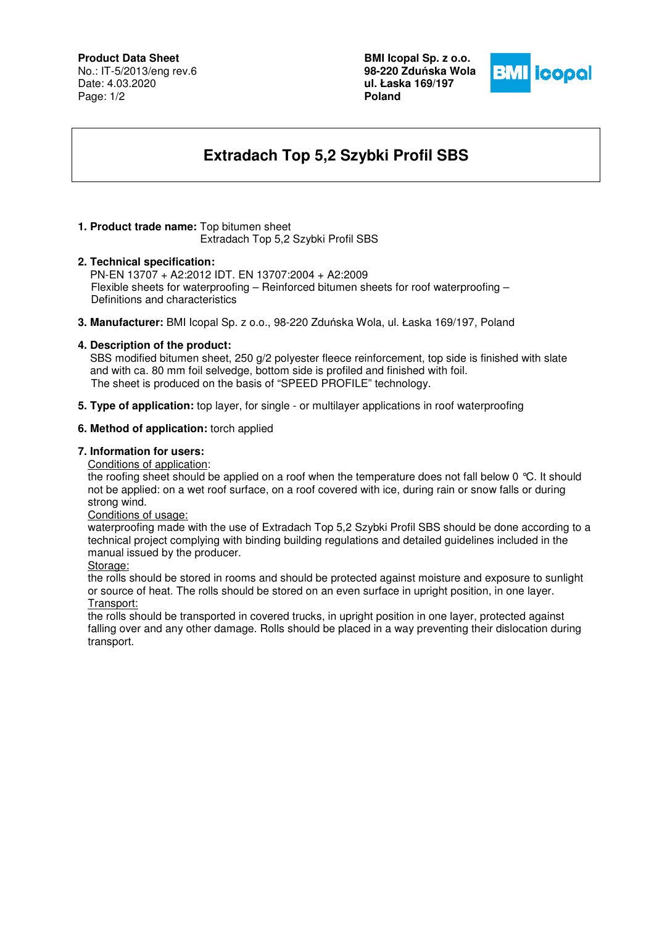# **Product Data Sheet**

No.: IT-5/2013/eng rev.6 Date: 4.03.2020 Page: 1/2

**BMI Icopal Sp. z o.o. 98-220 Zdu**ń**ska Wola ul. Łaska 169/197 Poland** 



# **Extradach Top 5,2 Szybki Profil SBS**

# **1. Product trade name:** Top bitumen sheet

Extradach Top 5,2 Szybki Profil SBS

# **2. Technical specification:**

PN-EN 13707 + A2:2012 IDT. EN 13707:2004 + A2:2009 Flexible sheets for waterproofing – Reinforced bitumen sheets for roof waterproofing – Definitions and characteristics

**3. Manufacturer:** BMI Icopal Sp. z o.o., 98-220 Zduńska Wola, ul. Łaska 169/197, Poland

# **4. Description of the product:**

 SBS modified bitumen sheet, 250 g/2 polyester fleece reinforcement, top side is finished with slate and with ca. 80 mm foil selvedge, bottom side is profiled and finished with foil. The sheet is produced on the basis of "SPEED PROFILE" technology.

**5. Type of application:** top layer, for single - or multilayer applications in roof waterproofing

# **6. Method of application:** torch applied

#### **7. Information for users:**

Conditions of application:

the roofing sheet should be applied on a roof when the temperature does not fall below 0 °C. It should not be applied: on a wet roof surface, on a roof covered with ice, during rain or snow falls or during strong wind.

#### Conditions of usage:

waterproofing made with the use of Extradach Top 5,2 Szybki Profil SBS should be done according to a technical project complying with binding building regulations and detailed guidelines included in the manual issued by the producer.

#### Storage:

the rolls should be stored in rooms and should be protected against moisture and exposure to sunlight or source of heat. The rolls should be stored on an even surface in upright position, in one layer. Transport:

the rolls should be transported in covered trucks, in upright position in one layer, protected against falling over and any other damage. Rolls should be placed in a way preventing their dislocation during transport.